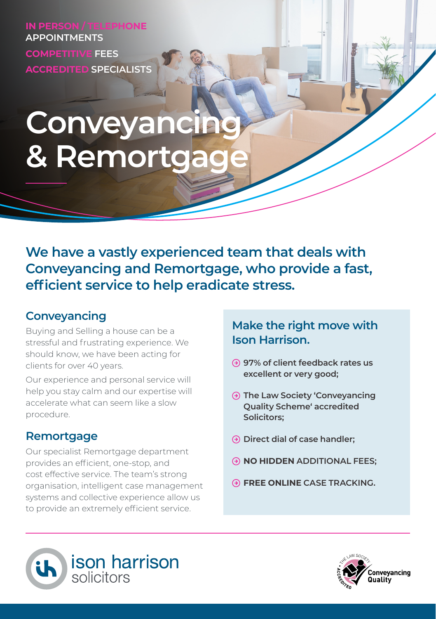**IN PERSON / TELEPHONE APPOINTMENTS COMPETITIVE FEES ACCREDITED SPECIALISTS**

# **Conveyancing & Remortgage**

**We have a vastly experienced team that deals with Conveyancing and Remortgage, who provide a fast, efficient service to help eradicate stress.**

# **Conveyancing**

Buying and Selling a house can be a stressful and frustrating experience. We should know, we have been acting for clients for over 40 years.

Our experience and personal service will help you stay calm and our expertise will accelerate what can seem like a slow procedure.

## **Remortgage**

Our specialist Remortgage department provides an efficient, one-stop, and cost effective service. The team's strong organisation, intelligent case management systems and collective experience allow us to provide an extremely efficient service.

### **Make the right move with Ison Harrison.**

- **97% of client feedback rates us excellent or very good;**
- **The Law Society 'Conveyancing Quality Scheme' accredited Solicitors;**
- **Direct dial of case handler;**
- **NO HIDDEN ADDITIONAL FEES;**
- **FREE ONLINE CASE TRACKING.**